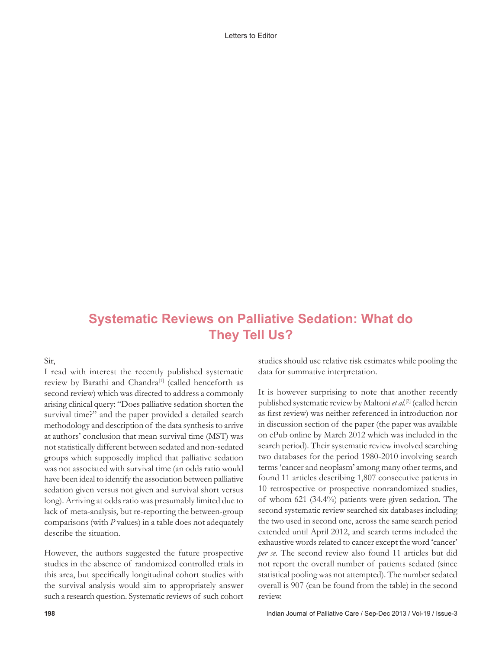Letters to Editor

## **Systematic Reviews on Palliative Sedation: What do They Tell Us?**

Sir,

I read with interest the recently published systematic review by Barathi and Chandra<sup>[1]</sup> (called henceforth as second review) which was directed to address a commonly arising clinical query: "Does palliative sedation shorten the survival time?" and the paper provided a detailed search methodology and description of the data synthesis to arrive at authors' conclusion that mean survival time (MST) was not statistically different between sedated and non‑sedated groups which supposedly implied that palliative sedation was not associated with survival time (an odds ratio would have been ideal to identify the association between palliative sedation given versus not given and survival short versus long). Arriving at odds ratio was presumably limited due to lack of meta-analysis, but re-reporting the between-group comparisons (with *P* values) in a table does not adequately describe the situation.

However, the authors suggested the future prospective studies in the absence of randomized controlled trials in this area, but specifically longitudinal cohort studies with the survival analysis would aim to appropriately answer such a research question. Systematic reviews of such cohort studies should use relative risk estimates while pooling the data for summative interpretation.

It is however surprising to note that another recently published systematic review by Maltoni *et al*. [2] (called herein as first review) was neither referenced in introduction nor in discussion section of the paper (the paper was available on ePub online by March 2012 which was included in the search period). Their systematic review involved searching two databases for the period 1980‑2010 involving search terms 'cancer and neoplasm' among many other terms, and found 11 articles describing 1,807 consecutive patients in 10 retrospective or prospective nonrandomized studies, of whom 621 (34.4%) patients were given sedation. The second systematic review searched six databases including the two used in second one, across the same search period extended until April 2012, and search terms included the exhaustive words related to cancer except the word 'cancer' *per se*. The second review also found 11 articles but did not report the overall number of patients sedated (since statistical pooling was not attempted). The number sedated overall is 907 (can be found from the table) in the second review.